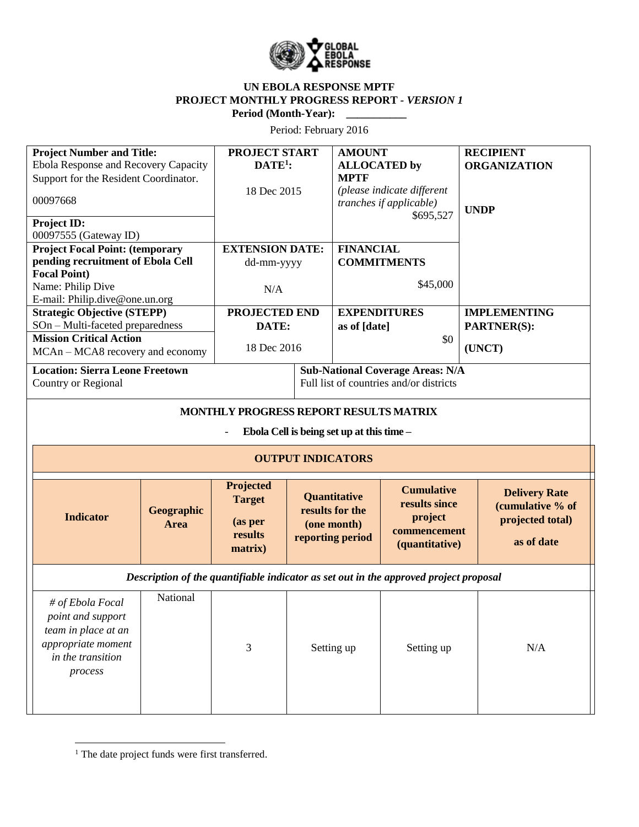

## **UN EBOLA RESPONSE MPTF PROJECT MONTHLY PROGRESS REPORT** *- VERSION 1* **Period (Month-Year):**

Period: February 2016

| <b>Project Number and Title:</b><br>Ebola Response and Recovery Capacity<br>Support for the Resident Coordinator.<br>00097668<br>Project ID:<br>00097555 (Gateway ID)<br><b>Project Focal Point: (temporary</b><br>pending recruitment of Ebola Cell<br><b>Focal Point)</b><br>Name: Philip Dive |                    | <b>PROJECT START</b><br>$DATE1$ :<br>18 Dec 2015<br><b>EXTENSION DATE:</b><br>dd-mm-yyyy<br>N/A |  | <b>AMOUNT</b><br><b>ALLOCATED</b> by<br><b>MPTF</b><br>(please indicate different<br>tranches if applicable)<br>\$695,527<br><b>FINANCIAL</b><br><b>COMMITMENTS</b><br>\$45,000 |                                                                                 | <b>RECIPIENT</b><br><b>ORGANIZATION</b><br><b>UNDP</b>                     |  |
|--------------------------------------------------------------------------------------------------------------------------------------------------------------------------------------------------------------------------------------------------------------------------------------------------|--------------------|-------------------------------------------------------------------------------------------------|--|---------------------------------------------------------------------------------------------------------------------------------------------------------------------------------|---------------------------------------------------------------------------------|----------------------------------------------------------------------------|--|
| E-mail: Philip.dive@one.un.org<br><b>Strategic Objective (STEPP)</b>                                                                                                                                                                                                                             |                    | PROJECTED END                                                                                   |  | <b>EXPENDITURES</b>                                                                                                                                                             |                                                                                 | <b>IMPLEMENTING</b>                                                        |  |
| SOn - Multi-faceted preparedness<br><b>Mission Critical Action</b>                                                                                                                                                                                                                               |                    | DATE:                                                                                           |  | as of [date]                                                                                                                                                                    |                                                                                 | PARTNER(S):                                                                |  |
| MCAn - MCA8 recovery and economy                                                                                                                                                                                                                                                                 |                    | 18 Dec 2016                                                                                     |  |                                                                                                                                                                                 | \$0                                                                             | (UNCT)                                                                     |  |
| <b>Location: Sierra Leone Freetown</b><br>Country or Regional                                                                                                                                                                                                                                    |                    | <b>Sub-National Coverage Areas: N/A</b><br>Full list of countries and/or districts              |  |                                                                                                                                                                                 |                                                                                 |                                                                            |  |
| MONTHLY PROGRESS REPORT RESULTS MATRIX<br>Ebola Cell is being set up at this time -                                                                                                                                                                                                              |                    |                                                                                                 |  |                                                                                                                                                                                 |                                                                                 |                                                                            |  |
| <b>OUTPUT INDICATORS</b>                                                                                                                                                                                                                                                                         |                    |                                                                                                 |  |                                                                                                                                                                                 |                                                                                 |                                                                            |  |
| <b>Indicator</b>                                                                                                                                                                                                                                                                                 | Geographic<br>Area | Projected<br><b>Target</b><br>(as per<br>results<br>matrix)                                     |  | Quantitative<br>results for the<br>(one month)<br>reporting period                                                                                                              | <b>Cumulative</b><br>results since<br>project<br>commencement<br>(quantitative) | <b>Delivery Rate</b><br>(cumulative % of<br>projected total)<br>as of date |  |
| Description of the quantifiable indicator as set out in the approved project proposal                                                                                                                                                                                                            |                    |                                                                                                 |  |                                                                                                                                                                                 |                                                                                 |                                                                            |  |
| # of Ebola Focal<br>point and support<br>team in place at an<br>appropriate moment<br>in the transition<br>process                                                                                                                                                                               | National           | 3                                                                                               |  | Setting up                                                                                                                                                                      | Setting up                                                                      | N/A                                                                        |  |

 $\overline{\phantom{a}}$ <sup>1</sup> The date project funds were first transferred.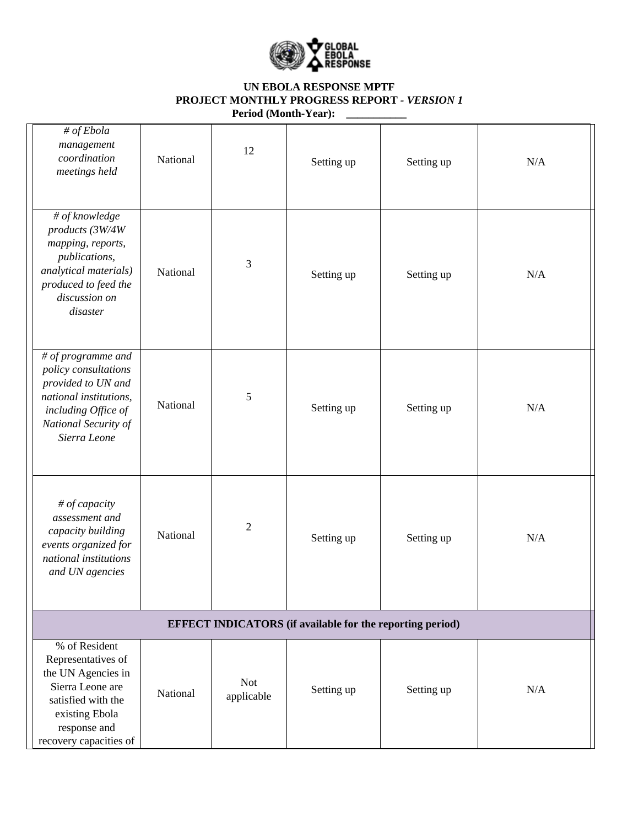

## **UN EBOLA RESPONSE MPTF PROJECT MONTHLY PROGRESS REPORT** *- VERSION 1* **Period (Month-Year): \_\_\_\_\_\_\_\_\_\_\_**

|                                                                  | # of Ebola<br>management<br>coordination<br>meetings held                                                                                                       | National                   | 12                       | Setting up | Setting up | N/A |  |
|------------------------------------------------------------------|-----------------------------------------------------------------------------------------------------------------------------------------------------------------|----------------------------|--------------------------|------------|------------|-----|--|
|                                                                  | $\#$ of knowledge<br>products (3W/4W<br>mapping, reports,<br>publications,<br>analytical materials)<br>produced to feed the<br>discussion on<br>disaster        | National                   | 3                        | Setting up | Setting up | N/A |  |
|                                                                  | # of programme and<br>policy consultations<br>provided to UN and<br>national institutions,<br>including Office of<br>National Security of<br>Sierra Leone       | National                   | 5                        | Setting up | Setting up | N/A |  |
|                                                                  | # of capacity<br>assessment and<br>capacity building<br>events organized for<br>national institutions<br>and UN agencies                                        | $\overline{2}$<br>National |                          | Setting up | Setting up | N/A |  |
| <b>EFFECT INDICATORS</b> (if available for the reporting period) |                                                                                                                                                                 |                            |                          |            |            |     |  |
|                                                                  | % of Resident<br>Representatives of<br>the UN Agencies in<br>Sierra Leone are<br>satisfied with the<br>existing Ebola<br>response and<br>recovery capacities of | National                   | <b>Not</b><br>applicable | Setting up | Setting up | N/A |  |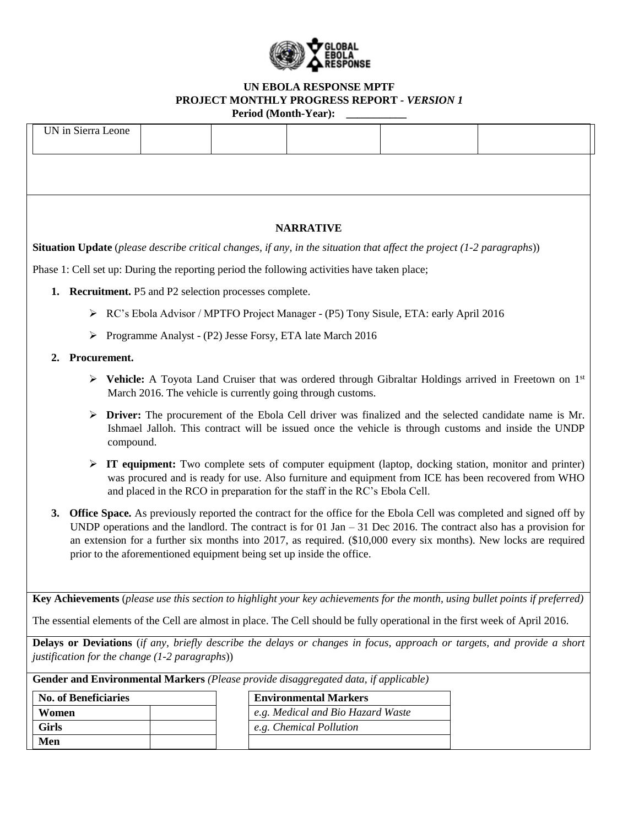

## **UN EBOLA RESPONSE MPTF PROJECT MONTHLY PROGRESS REPORT** *- VERSION 1* **Period (Month-Year): \_\_\_\_\_\_\_\_\_\_\_**

| UN in Sierra Leone                                                                                                                                                                 |                                                                                                                            |  |  |                                                                       |  |                                                                                                                        |  |  |
|------------------------------------------------------------------------------------------------------------------------------------------------------------------------------------|----------------------------------------------------------------------------------------------------------------------------|--|--|-----------------------------------------------------------------------|--|------------------------------------------------------------------------------------------------------------------------|--|--|
|                                                                                                                                                                                    |                                                                                                                            |  |  |                                                                       |  |                                                                                                                        |  |  |
|                                                                                                                                                                                    |                                                                                                                            |  |  |                                                                       |  |                                                                                                                        |  |  |
|                                                                                                                                                                                    |                                                                                                                            |  |  |                                                                       |  |                                                                                                                        |  |  |
| <b>NARRATIVE</b>                                                                                                                                                                   |                                                                                                                            |  |  |                                                                       |  |                                                                                                                        |  |  |
| Situation Update (please describe critical changes, if any, in the situation that affect the project (1-2 paragraphs))                                                             |                                                                                                                            |  |  |                                                                       |  |                                                                                                                        |  |  |
| Phase 1: Cell set up: During the reporting period the following activities have taken place;                                                                                       |                                                                                                                            |  |  |                                                                       |  |                                                                                                                        |  |  |
| 1. Recruitment. P5 and P2 selection processes complete.                                                                                                                            |                                                                                                                            |  |  |                                                                       |  |                                                                                                                        |  |  |
| ► RC's Ebola Advisor / MPTFO Project Manager - (P5) Tony Sisule, ETA: early April 2016                                                                                             |                                                                                                                            |  |  |                                                                       |  |                                                                                                                        |  |  |
| ➤                                                                                                                                                                                  | Programme Analyst - (P2) Jesse Forsy, ETA late March 2016                                                                  |  |  |                                                                       |  |                                                                                                                        |  |  |
| 2.                                                                                                                                                                                 | Procurement.                                                                                                               |  |  |                                                                       |  |                                                                                                                        |  |  |
| Exercífiched Medicine and Cruiser that was ordered through Gibraltar Holdings arrived in Freetown on 1st                                                                           |                                                                                                                            |  |  |                                                                       |  |                                                                                                                        |  |  |
|                                                                                                                                                                                    | March 2016. The vehicle is currently going through customs.                                                                |  |  |                                                                       |  |                                                                                                                        |  |  |
| $\triangleright$ Driver: The procurement of the Ebola Cell driver was finalized and the selected candidate name is Mr.                                                             |                                                                                                                            |  |  |                                                                       |  |                                                                                                                        |  |  |
| Ishmael Jalloh. This contract will be issued once the vehicle is through customs and inside the UNDP<br>compound.                                                                  |                                                                                                                            |  |  |                                                                       |  |                                                                                                                        |  |  |
| $\triangleright$ IT equipment: Two complete sets of computer equipment (laptop, docking station, monitor and printer)                                                              |                                                                                                                            |  |  |                                                                       |  |                                                                                                                        |  |  |
| was procured and is ready for use. Also furniture and equipment from ICE has been recovered from WHO<br>and placed in the RCO in preparation for the staff in the RC's Ebola Cell. |                                                                                                                            |  |  |                                                                       |  |                                                                                                                        |  |  |
| 3.                                                                                                                                                                                 | <b>Office Space.</b> As previously reported the contract for the office for the Ebola Cell was completed and signed off by |  |  |                                                                       |  |                                                                                                                        |  |  |
|                                                                                                                                                                                    |                                                                                                                            |  |  |                                                                       |  | UNDP operations and the landlord. The contract is for 01 Jan $-$ 31 Dec 2016. The contract also has a provision for    |  |  |
|                                                                                                                                                                                    |                                                                                                                            |  |  | prior to the aforementioned equipment being set up inside the office. |  | an extension for a further six months into $2017$ , as required. $(\$10,000$ every six months). New locks are required |  |  |
|                                                                                                                                                                                    |                                                                                                                            |  |  |                                                                       |  |                                                                                                                        |  |  |
|                                                                                                                                                                                    |                                                                                                                            |  |  |                                                                       |  |                                                                                                                        |  |  |
| Key Achievements (please use this section to highlight your key achievements for the month, using bullet points if preferred)                                                      |                                                                                                                            |  |  |                                                                       |  |                                                                                                                        |  |  |
| The essential elements of the Cell are almost in place. The Cell should be fully operational in the first week of April 2016.                                                      |                                                                                                                            |  |  |                                                                       |  |                                                                                                                        |  |  |
| Delays or Deviations (if any, briefly describe the delays or changes in focus, approach or targets, and provide a short<br>justification for the change (1-2 paragraphs))          |                                                                                                                            |  |  |                                                                       |  |                                                                                                                        |  |  |
| <b>Gender and Environmental Markers</b> (Please provide disaggregated data, if applicable)                                                                                         |                                                                                                                            |  |  |                                                                       |  |                                                                                                                        |  |  |
| <b>No. of Beneficiaries</b>                                                                                                                                                        |                                                                                                                            |  |  | <b>Environmental Markers</b>                                          |  |                                                                                                                        |  |  |
| Women                                                                                                                                                                              |                                                                                                                            |  |  | e.g. Medical and Bio Hazard Waste                                     |  |                                                                                                                        |  |  |
| <b>Girls</b>                                                                                                                                                                       |                                                                                                                            |  |  | e.g. Chemical Pollution                                               |  |                                                                                                                        |  |  |
|                                                                                                                                                                                    | Men                                                                                                                        |  |  |                                                                       |  |                                                                                                                        |  |  |